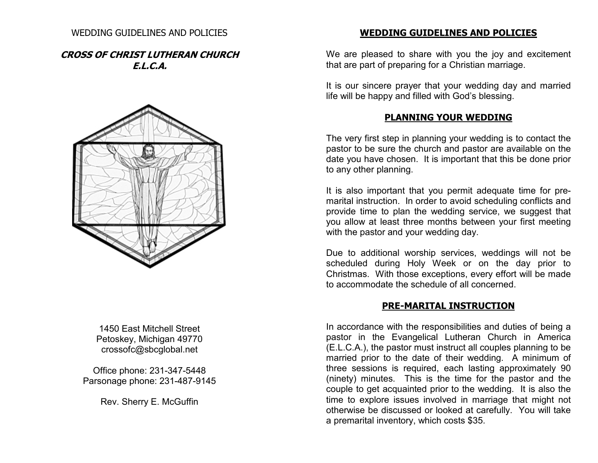#### WEDDING GUIDELINES AND POLICIES

### **CROSS OF CHRIST LUTHERAN CHURCH E.L.C.A.**



1450 East Mitchell Street Petoskey, Michigan 49770 crossofc@sbcglobal.net

Office phone: 231-347-5448 Parsonage phone: 231-487-9145

Rev. Sherry E. McGuffin

#### **WEDDING GUIDELINES AND POLICIES**

We are pleased to share with you the joy and excitement that are part of preparing for a Christian marriage. It is our sincere prayer that your wedding day and married

life will be happy and filled with God's blessing.

### **PLANNING YOUR WEDDING**

The very first step in planning your wedding is to contact the pastor to be sure the church and pastor are available on the date you have chosen. It is important that this be done prior to any other planning.

It is also important that you permit adequate time for premarital instruction. In order to avoid scheduling conflicts and provide time to plan the wedding service, we suggest that you allow at least three months between your first meeting with the pastor and your wedding day.

Due to additional worship services, weddings will not be scheduled during Holy Week or on the day prior to Christmas. With those exceptions, every effort will be made to accommodate the schedule of all concerned.

## **PRE-MARITAL INSTRUCTION**

In accordance with the responsibilities and duties of being a pastor in the Evangelical Lutheran Church in America (E.L.C.A.), the pastor must instruct all couples planning to be married prior to the date of their wedding. A minimum of three sessions is required, each lasting approximately 90 (ninety) minutes. This is the time for the pastor and the couple to get acquainted prior to the wedding. It is also the time to explore issues involved in marriage that might not otherwise be discussed or looked at carefully. You will take a premarital inventory, which costs \$35.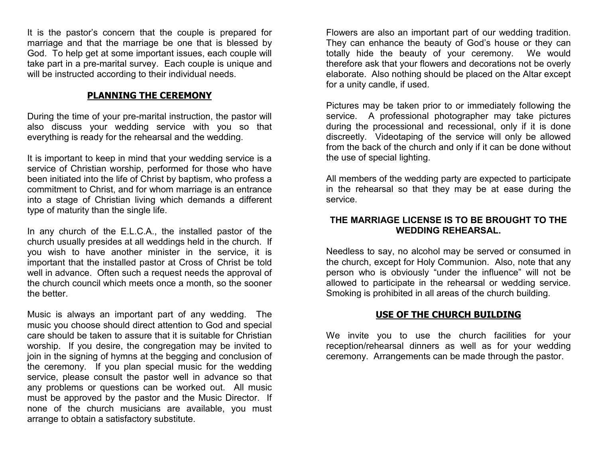It is the pastor's concern that the couple is prepared for marriage and that the marriage be one that is blessed by God. To help get at some important issues, each couple will take part in a pre-marital survey. Each couple is unique and will be instructed according to their individual needs.

# **PLANNING THE CEREMONY**

During the time of your pre-marital instruction, the pastor will also discuss your wedding service with you so that everything is ready for the rehearsal and the wedding.

It is important to keep in mind that your wedding service is a service of Christian worship, performed for those who have been initiated into the life of Christ by baptism, who profess a commitment to Christ, and for whom marriage is an entrance into a stage of Christian living which demands a different type of maturity than the single life.

In any church of the E.L.C.A., the installed pastor of the church usually presides at all weddings held in the church. If you wish to have another minister in the service, it is important that the installed pastor at Cross of Christ be told well in advance. Often such a request needs the approval of the church council which meets once a month, so the sooner the better.

Music is always an important part of any wedding. The music you choose should direct attention to God and special care should be taken to assure that it is suitable for Christian worship. If you desire, the congregation may be invited to join in the signing of hymns at the begging and conclusion of the ceremony. If you plan special music for the wedding service, please consult the pastor well in advance so that any problems or questions can be worked out. All music must be approved by the pastor and the Music Director. If none of the church musicians are available, you must arrange to obtain a satisfactory substitute.

Flowers are also an important part of our wedding tradition. They can enhance the beauty of God's house or they can totally hide the beauty of your ceremony. We would therefore ask that your flowers and decorations not be overly elaborate. Also nothing should be placed on the Altar except for a unity candle, if used.

Pictures may be taken prior to or immediately following the service. A professional photographer may take pictures during the processional and recessional, only if it is done discreetly. Videotaping of the service will only be allowed from the back of the church and only if it can be done without the use of special lighting.

All members of the wedding party are expected to participate in the rehearsal so that they may be at ease during the service.

## **THE MARRIAGE LICENSE IS TO BE BROUGHT TO THE WEDDING REHEARSAL.**

Needless to say, no alcohol may be served or consumed in the church, except for Holy Communion. Also, note that any person who is obviously "under the influence" will not be allowed to participate in the rehearsal or wedding service. Smoking is prohibited in all areas of the church building.

# **USE OF THE CHURCH BUILDING**

We invite you to use the church facilities for your reception/rehearsal dinners as well as for your wedding ceremony. Arrangements can be made through the pastor.